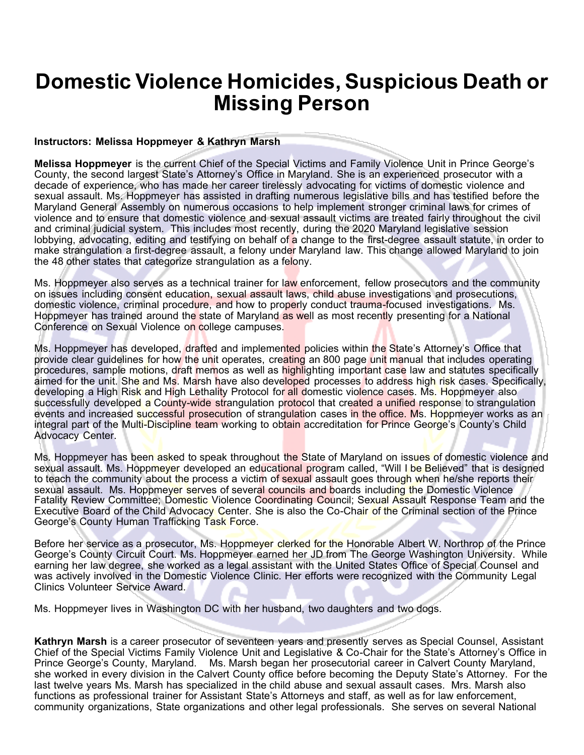## **Domestic Violence Homicides, Suspicious Death or Missing Person**

## **Instructors: Melissa Hoppmeyer & Kathryn Marsh**

**Melissa Hoppmeyer** is the current Chief of the Special Victims and Family Violence Unit in Prince George's County, the second largest State's Attorney's Office in Maryland. She is an experienced prosecutor with a decade of experience, who has made her career tirelessly advocating for victims of domestic violence and sexual assault. Ms. Hoppmeyer has assisted in drafting numerous legislative bills and has testified before the Maryland General Assembly on numerous occasions to help implement stronger criminal laws for crimes of violence and to ensure that domestic violence and sexual assault victims are treated fairly throughout the civil and criminal judicial system. This includes most recently, during the 2020 Maryland legislative session lobbying, advocating, editing and testifying on behalf of a change to the first-degree assault statute, in order to make strangulation a first-degree assault, a felony under Maryland law. This change allowed Maryland to join the 48 other states that categorize strangulation as a felony.

Ms. Hoppmeyer also serves as a technical trainer for law enforcement, fellow prosecutors and the community on issues including consent education, sexual assault laws, child abuse investigations and prosecutions, domestic violence, criminal procedure, and how to properly conduct trauma-focused investigations. Ms. Hoppmeyer has trained around the state of Maryland as well as most recently presenting for a National Conference on Sexual Violence on college campuses.

Ms. Hoppmeyer has developed, drafted and implemented policies within the State's Attorney's Office that provide clear guidelines for how the unit operates, creating an 800 page unit manual that includes operating procedures, sample motions, draft memos as well as highlighting important case law and statutes specifically aimed for the unit. She and Ms. Marsh have also developed processes to address high risk cases. Specifically, developing a High Risk and High Lethality Protocol for all domestic violence cases. Ms. Hoppmeyer also successfully developed a County-wide strangulation protocol that created a unified response to strangulation events and increased successful prosecution of strangulation cases in the office. Ms. Hoppmeyer works as an integral part of the Multi-Discipline team working to obtain accreditation for Prince George's County's Child Advocacy Center.

Ms. Hoppmeyer has been asked to speak throughout the State of Maryland on issues of domestic violence and sexual assault. Ms. Hoppmeyer developed an educational program called, "Will I be Believed" that is designed to teach the community about the process a victim of sexual assault goes through when he/she reports their sexual assault. Ms. Hoppmeyer serves of several councils and boards including the Domestic Violence Fatality Review Committee; Domestic Violence Coordinating Council; Sexual Assault Response Team and the Executive Board of the Child Advocacy Center. She is also the Co-Chair of the Criminal section of the Prince George's County Human Trafficking Task Force.

Before her service as a prosecutor, Ms. Hoppmeyer clerked for the Honorable Albert W. Northrop of the Prince George's County Circuit Court. Ms. Hoppmeyer earned her JD from The George Washington University. While earning her law degree, she worked as a legal assistant with the United States Office of Special Counsel and was actively involved in the Domestic Violence Clinic. Her efforts were recognized with the Community Legal Clinics Volunteer Service Award.

Ms. Hoppmeyer lives in Washington DC with her husband, two daughters and two dogs.

**Kathryn Marsh** is a career prosecutor of seventeen years and presently serves as Special Counsel, Assistant Chief of the Special Victims Family Violence Unit and Legislative & Co-Chair for the State's Attorney's Office in Prince George's County, Maryland. Ms. Marsh began her prosecutorial career in Calvert County Maryland, she worked in every division in the Calvert County office before becoming the Deputy State's Attorney. For the last twelve years Ms. Marsh has specialized in the child abuse and sexual assault cases. Mrs. Marsh also functions as professional trainer for Assistant State's Attorneys and staff, as well as for law enforcement, community organizations, State organizations and other legal professionals. She serves on several National